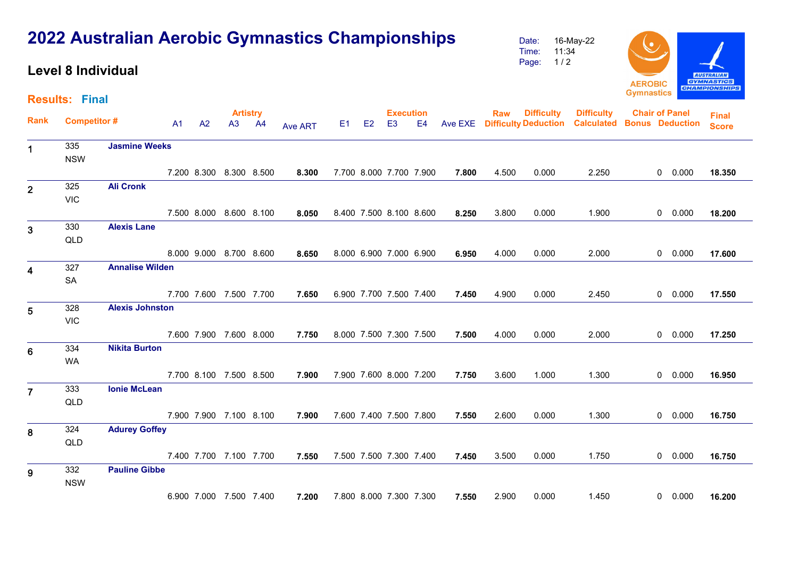|                         |                       | <b>Level 8 Individual</b> |    |    |                          |                |       |                                    |    |       |       | 11:34<br>Time:<br>$1/2$<br>Page:                  |                                        | <b>AEROBIC</b>        |                        | <b>AUSTRALIAN</b><br><b>GYMNASTICS</b><br><b>CHAMPIONSHIPS</b> |
|-------------------------|-----------------------|---------------------------|----|----|--------------------------|----------------|-------|------------------------------------|----|-------|-------|---------------------------------------------------|----------------------------------------|-----------------------|------------------------|----------------------------------------------------------------|
|                         | <b>Results: Final</b> |                           |    |    |                          |                |       |                                    |    |       |       |                                                   |                                        | <b>Gymnastics</b>     |                        |                                                                |
| Rank                    | <b>Competitor#</b>    |                           | A1 | A2 | <b>Artistry</b><br>A3 A4 | <b>Ave ART</b> | E1 E2 | <b>Execution</b><br>E <sub>3</sub> | E4 |       | Raw   | <b>Difficulty</b><br>Ave EXE Difficulty Deduction | <b>Difficulty</b><br><b>Calculated</b> | <b>Chair of Panel</b> | <b>Bonus</b> Deduction | <b>Final</b><br><b>Score</b>                                   |
| 1                       | 335<br><b>NSW</b>     | <b>Jasmine Weeks</b>      |    |    |                          |                |       |                                    |    |       |       |                                                   |                                        |                       |                        |                                                                |
|                         |                       |                           |    |    | 7.200 8.300 8.300 8.500  | 8.300          |       | 7.700 8.000 7.700 7.900            |    | 7.800 | 4.500 | 0.000                                             | 2.250                                  |                       | 0 0.000                | 18.350                                                         |
| $\overline{2}$          | 325<br><b>VIC</b>     | <b>Ali Cronk</b>          |    |    |                          |                |       |                                    |    |       |       |                                                   |                                        |                       |                        |                                                                |
|                         |                       |                           |    |    | 7.500 8.000 8.600 8.100  | 8.050          |       | 8.400 7.500 8.100 8.600            |    | 8.250 | 3.800 | 0.000                                             | 1.900                                  |                       | 0 0.000                | 18.200                                                         |
| $\mathbf{3}$            | 330<br>QLD            | <b>Alexis Lane</b>        |    |    |                          |                |       |                                    |    |       |       |                                                   |                                        |                       |                        |                                                                |
|                         |                       |                           |    |    | 8.000 9.000 8.700 8.600  | 8.650          |       | 8.000 6.900 7.000 6.900            |    | 6.950 | 4.000 | 0.000                                             | 2.000                                  |                       | 0 0.000                | 17.600                                                         |
| $\overline{\mathbf{4}}$ | 327<br>SA             | <b>Annalise Wilden</b>    |    |    |                          |                |       |                                    |    |       |       |                                                   |                                        |                       |                        |                                                                |
|                         |                       |                           |    |    | 7.700 7.600 7.500 7.700  | 7.650          |       | 6.900 7.700 7.500 7.400            |    | 7.450 | 4.900 | 0.000                                             | 2.450                                  |                       | 0 0.000                | 17.550                                                         |
| 5                       | 328<br><b>VIC</b>     | <b>Alexis Johnston</b>    |    |    |                          |                |       |                                    |    |       |       |                                                   |                                        |                       |                        |                                                                |
|                         |                       |                           |    |    | 7.600 7.900 7.600 8.000  | 7.750          |       | 8.000 7.500 7.300 7.500            |    | 7.500 | 4.000 | 0.000                                             | 2.000                                  |                       | $0\quad 0.000$         | 17.250                                                         |
| $6\phantom{1}6$         | 334<br>WA             | <b>Nikita Burton</b>      |    |    |                          |                |       |                                    |    |       |       |                                                   |                                        |                       |                        |                                                                |
|                         |                       |                           |    |    | 7.700 8.100 7.500 8.500  | 7.900          |       | 7.900 7.600 8.000 7.200            |    | 7.750 | 3.600 | 1.000                                             | 1.300                                  |                       | 0 0.000                | 16.950                                                         |
| $\overline{7}$          | 333<br>QLD            | <b>Ionie McLean</b>       |    |    |                          |                |       |                                    |    |       |       |                                                   |                                        |                       |                        |                                                                |
|                         |                       |                           |    |    | 7.900 7.900 7.100 8.100  | 7.900          |       | 7.600 7.400 7.500 7.800            |    | 7.550 | 2.600 | 0.000                                             | 1.300                                  |                       | 0 0.000                | 16.750                                                         |
| 8                       | 324<br>QLD            | <b>Adurey Goffey</b>      |    |    |                          |                |       |                                    |    |       |       |                                                   |                                        |                       |                        |                                                                |
|                         |                       |                           |    |    | 7.400 7.700 7.100 7.700  | 7.550          |       | 7.500 7.500 7.300 7.400            |    | 7.450 | 3.500 | 0.000                                             | 1.750                                  |                       | 0 0.000                | 16.750                                                         |
| 9                       | 332<br><b>NSW</b>     | <b>Pauline Gibbe</b>      |    |    |                          |                |       |                                    |    |       |       |                                                   |                                        |                       |                        |                                                                |
|                         |                       |                           |    |    | 6.900 7.000 7.500 7.400  | 7.200          |       | 7.800 8.000 7.300 7.300            |    | 7.550 | 2.900 | 0.000                                             | 1.450                                  |                       | 0 0.000                | 16.200                                                         |

## **2022 Australian Aerobic Gymnastics Championships**

Date: 16-May-22